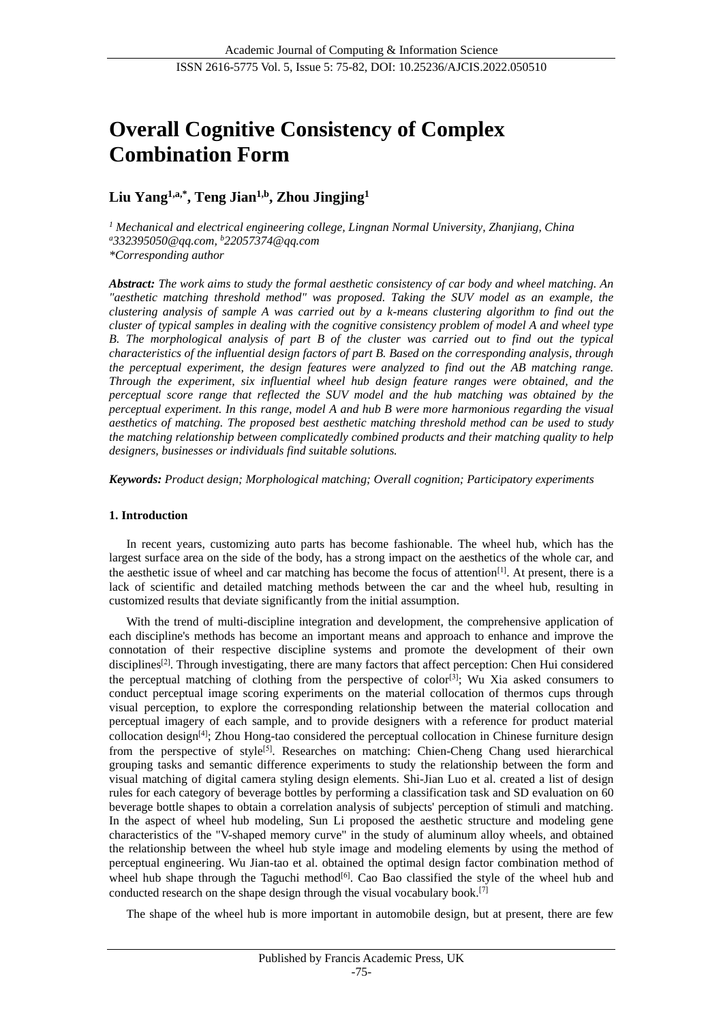# **Overall Cognitive Consistency of Complex Combination Form**

## **Liu Yang1,a,\*, Teng Jian1,b, Zhou Jingjing<sup>1</sup>**

*<sup>1</sup> Mechanical and electrical engineering college, Lingnan Normal University, Zhanjiang, China <sup>a</sup>332395050@qq.com, <sup>b</sup>22057374@qq.com \*Corresponding author*

*Abstract: The work aims to study the formal aesthetic consistency of car body and wheel matching. An aesthetic matching threshold method" was proposed. Taking the SUV model as an example, the clustering analysis of sample A was carried out by a k-means clustering algorithm to find out the cluster of typical samples in dealing with the cognitive consistency problem of model A and wheel type B. The morphological analysis of part B of the cluster was carried out to find out the typical characteristics of the influential design factors of part B. Based on the corresponding analysis, through the perceptual experiment, the design features were analyzed to find out the AB matching range. Through the experiment, six influential wheel hub design feature ranges were obtained, and the perceptual score range that reflected the SUV model and the hub matching was obtained by the perceptual experiment. In this range, model A and hub B were more harmonious regarding the visual aesthetics of matching. The proposed best aesthetic matching threshold method can be used to study the matching relationship between complicatedly combined products and their matching quality to help designers, businesses or individuals find suitable solutions.*

*Keywords: Product design; Morphological matching; Overall cognition; Participatory experiments*

## **1. Introduction**

In recent years, customizing auto parts has become fashionable. The wheel hub, which has the largest surface area on the side of the body, has a strong impact on the aesthetics of the whole car, and the aesthetic issue of wheel and car matching has become the focus of attention<sup>[1]</sup>. At present, there is a lack of scientific and detailed matching methods between the car and the wheel hub, resulting in customized results that deviate significantly from the initial assumption.

With the trend of multi-discipline integration and development, the comprehensive application of each discipline's methods has become an important means and approach to enhance and improve the connotation of their respective discipline systems and promote the development of their own disciplines<sup>[2]</sup>. Through investigating, there are many factors that affect perception: Chen Hui considered the perceptual matching of clothing from the perspective of  $color[3]$ ; Wu Xia asked consumers to conduct perceptual image scoring experiments on the material collocation of thermos cups through visual perception, to explore the corresponding relationship between the material collocation and perceptual imagery of each sample, and to provide designers with a reference for product material collocation design<sup>[4]</sup>; Zhou Hong-tao considered the perceptual collocation in Chinese furniture design from the perspective of style<sup>[5]</sup>. Researches on matching: Chien-Cheng Chang used hierarchical grouping tasks and semantic difference experiments to study the relationship between the form and visual matching of digital camera styling design elements. Shi-Jian Luo et al. created a list of design rules for each category of beverage bottles by performing a classification task and SD evaluation on 60 beverage bottle shapes to obtain a correlation analysis of subjects' perception of stimuli and matching. In the aspect of wheel hub modeling, Sun Li proposed the aesthetic structure and modeling gene characteristics of the "V-shaped memory curve" in the study of aluminum alloy wheels, and obtained the relationship between the wheel hub style image and modeling elements by using the method of perceptual engineering. Wu Jian-tao et al. obtained the optimal design factor combination method of wheel hub shape through the Taguchi method<sup>[6]</sup>. Cao Bao classified the style of the wheel hub and conducted research on the shape design through the visual vocabulary book.<sup>[7]</sup>

The shape of the wheel hub is more important in automobile design, but at present, there are few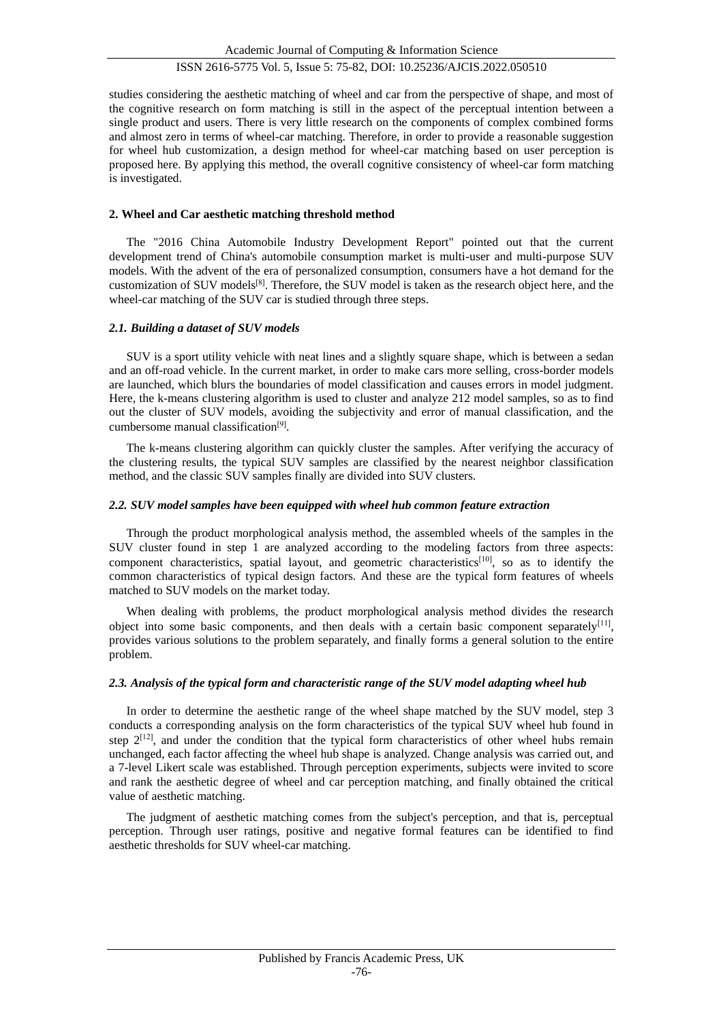studies considering the aesthetic matching of wheel and car from the perspective of shape, and most of the cognitive research on form matching is still in the aspect of the perceptual intention between a single product and users. There is very little research on the components of complex combined forms and almost zero in terms of wheel-car matching. Therefore, in order to provide a reasonable suggestion for wheel hub customization, a design method for wheel-car matching based on user perception is proposed here. By applying this method, the overall cognitive consistency of wheel-car form matching is investigated.

#### **2. Wheel and Car aesthetic matching threshold method**

The "2016 China Automobile Industry Development Report" pointed out that the current development trend of China's automobile consumption market is multi-user and multi-purpose SUV models. With the advent of the era of personalized consumption, consumers have a hot demand for the customization of SUV models<sup>[8]</sup>. Therefore, the SUV model is taken as the research object here, and the wheel-car matching of the SUV car is studied through three steps.

#### *2.1. Building a dataset of SUV models*

SUV is a sport utility vehicle with neat lines and a slightly square shape, which is between a sedan and an off-road vehicle. In the current market, in order to make cars more selling, cross-border models are launched, which blurs the boundaries of model classification and causes errors in model judgment. Here, the k-means clustering algorithm is used to cluster and analyze 212 model samples, so as to find out the cluster of SUV models, avoiding the subjectivity and error of manual classification, and the cumbersome manual classification<sup>[9]</sup>.

The k-means clustering algorithm can quickly cluster the samples. After verifying the accuracy of the clustering results, the typical SUV samples are classified by the nearest neighbor classification method, and the classic SUV samples finally are divided into SUV clusters.

#### *2.2. SUV model samples have been equipped with wheel hub common feature extraction*

Through the product morphological analysis method, the assembled wheels of the samples in the SUV cluster found in step 1 are analyzed according to the modeling factors from three aspects: component characteristics, spatial layout, and geometric characteristics<sup>[10]</sup>, so as to identify the common characteristics of typical design factors. And these are the typical form features of wheels matched to SUV models on the market today.

When dealing with problems, the product morphological analysis method divides the research object into some basic components, and then deals with a certain basic component separately<sup>[11]</sup>, provides various solutions to the problem separately, and finally forms a general solution to the entire problem.

## *2.3. Analysis of the typical form and characteristic range of the SUV model adapting wheel hub*

In order to determine the aesthetic range of the wheel shape matched by the SUV model, step 3 conducts a corresponding analysis on the form characteristics of the typical SUV wheel hub found in step  $2^{[12]}$ , and under the condition that the typical form characteristics of other wheel hubs remain unchanged, each factor affecting the wheel hub shape is analyzed. Change analysis was carried out, and a 7-level Likert scale was established. Through perception experiments, subjects were invited to score and rank the aesthetic degree of wheel and car perception matching, and finally obtained the critical value of aesthetic matching.

The judgment of aesthetic matching comes from the subject's perception, and that is, perceptual perception. Through user ratings, positive and negative formal features can be identified to find aesthetic thresholds for SUV wheel-car matching.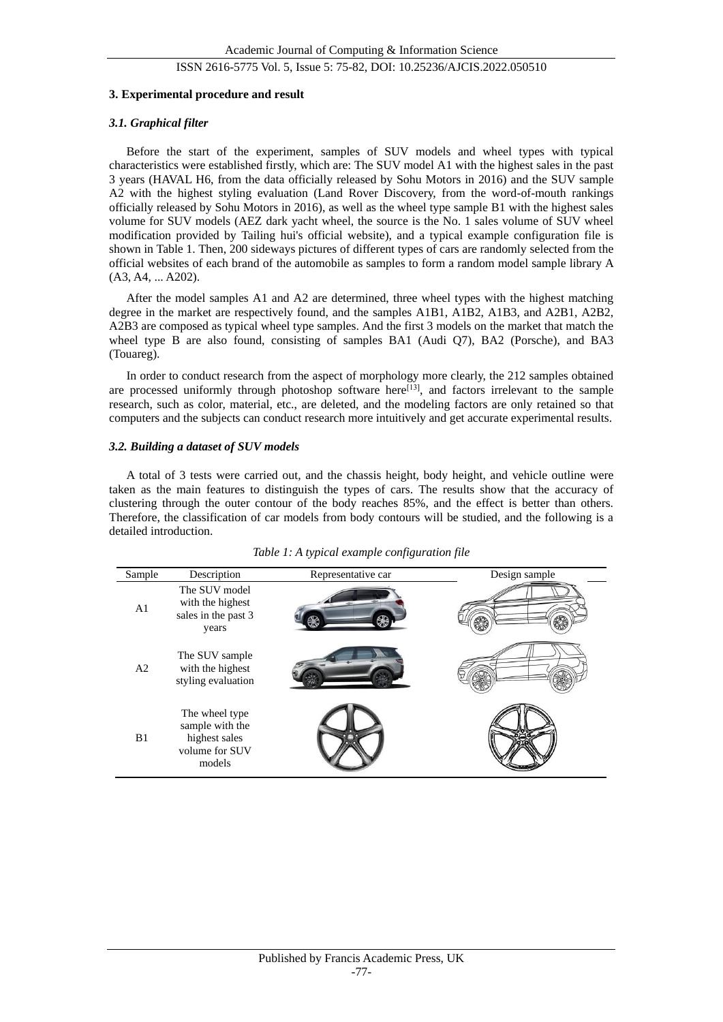#### **3. Experimental procedure and result**

#### *3.1. Graphical filter*

Before the start of the experiment, samples of SUV models and wheel types with typical characteristics were established firstly, which are: The SUV model A1 with the highest sales in the past 3 years (HAVAL H6, from the data officially released by Sohu Motors in 2016) and the SUV sample A2 with the highest styling evaluation (Land Rover Discovery, from the word-of-mouth rankings officially released by Sohu Motors in 2016), as well as the wheel type sample B1 with the highest sales volume for SUV models (AEZ dark yacht wheel, the source is the No. 1 sales volume of SUV wheel modification provided by Tailing hui's official website), and a typical example configuration file is shown in Table 1. Then, 200 sideways pictures of different types of cars are randomly selected from the official websites of each brand of the automobile as samples to form a random model sample library A (A3, A4, ... A202).

After the model samples A1 and A2 are determined, three wheel types with the highest matching degree in the market are respectively found, and the samples A1B1, A1B2, A1B3, and A2B1, A2B2, A2B3 are composed as typical wheel type samples. And the first 3 models on the market that match the wheel type B are also found, consisting of samples BA1 (Audi O7), BA2 (Porsche), and BA3 (Touareg).

In order to conduct research from the aspect of morphology more clearly, the 212 samples obtained are processed uniformly through photoshop software here $[13]$ , and factors irrelevant to the sample research, such as color, material, etc., are deleted, and the modeling factors are only retained so that computers and the subjects can conduct research more intuitively and get accurate experimental results.

#### *3.2. Building a dataset of SUV models*

A total of 3 tests were carried out, and the chassis height, body height, and vehicle outline were taken as the main features to distinguish the types of cars. The results show that the accuracy of clustering through the outer contour of the body reaches 85%, and the effect is better than others. Therefore, the classification of car models from body contours will be studied, and the following is a detailed introduction.

| Sample         | Description                                                                    | Representative car | Design sample |
|----------------|--------------------------------------------------------------------------------|--------------------|---------------|
| A <sub>1</sub> | The SUV model<br>with the highest<br>sales in the past 3<br>years              |                    |               |
| A2             | The SUV sample<br>with the highest<br>styling evaluation                       |                    |               |
| B1             | The wheel type<br>sample with the<br>highest sales<br>volume for SUV<br>models |                    |               |

| Table 1: A typical example configuration file |  |  |
|-----------------------------------------------|--|--|
|                                               |  |  |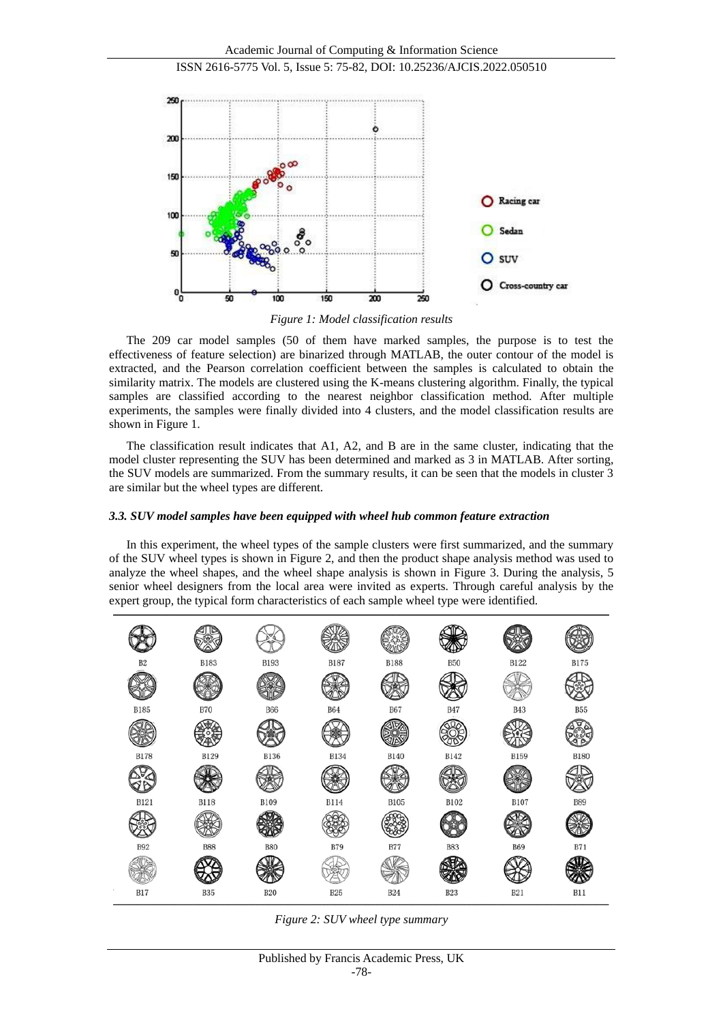

*Figure 1: Model classification results*

The 209 car model samples (50 of them have marked samples, the purpose is to test the effectiveness of feature selection) are binarized through MATLAB, the outer contour of the model is extracted, and the Pearson correlation coefficient between the samples is calculated to obtain the similarity matrix. The models are clustered using the K-means clustering algorithm. Finally, the typical samples are classified according to the nearest neighbor classification method. After multiple experiments, the samples were finally divided into 4 clusters, and the model classification results are shown in Figure 1.

The classification result indicates that A1, A2, and B are in the same cluster, indicating that the model cluster representing the SUV has been determined and marked as 3 in MATLAB. After sorting, the SUV models are summarized. From the summary results, it can be seen that the models in cluster 3 are similar but the wheel types are different.

## *3.3. SUV model samples have been equipped with wheel hub common feature extraction*

In this experiment, the wheel types of the sample clusters were first summarized, and the summary of the SUV wheel types is shown in Figure 2, and then the product shape analysis method was used to analyze the wheel shapes, and the wheel shape analysis is shown in Figure 3. During the analysis, 5 senior wheel designers from the local area were invited as experts. Through careful analysis by the expert group, the typical form characteristics of each sample wheel type were identified.



*Figure 2: SUV wheel type summary*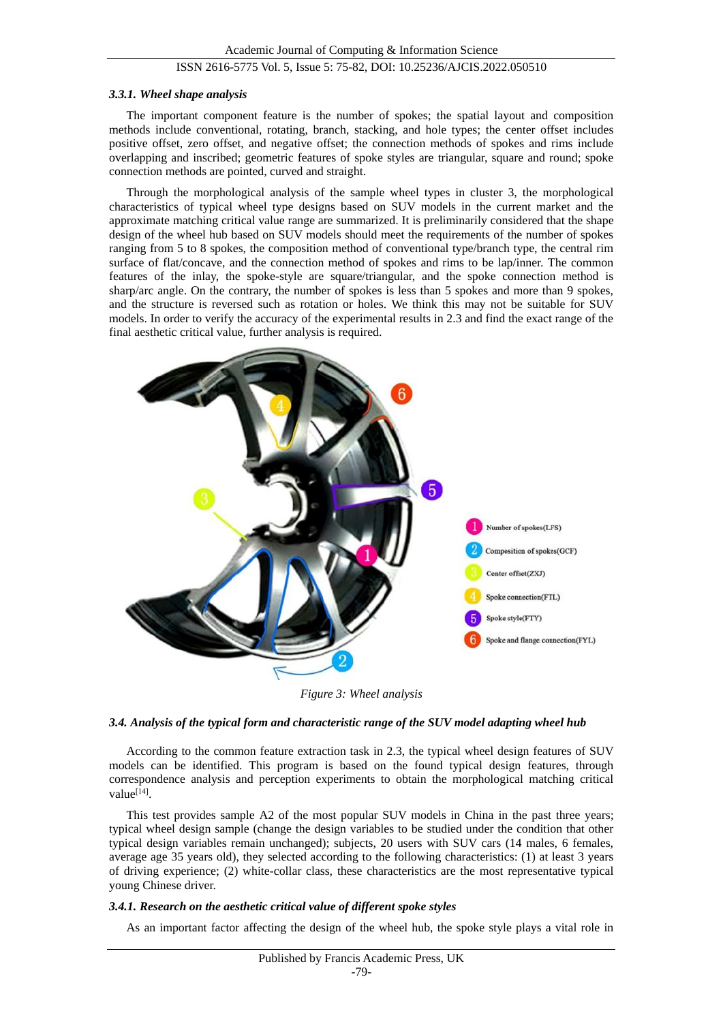#### *3.3.1. Wheel shape analysis*

The important component feature is the number of spokes; the spatial layout and composition methods include conventional, rotating, branch, stacking, and hole types; the center offset includes positive offset, zero offset, and negative offset; the connection methods of spokes and rims include overlapping and inscribed; geometric features of spoke styles are triangular, square and round; spoke connection methods are pointed, curved and straight.

Through the morphological analysis of the sample wheel types in cluster 3, the morphological characteristics of typical wheel type designs based on SUV models in the current market and the approximate matching critical value range are summarized. It is preliminarily considered that the shape design of the wheel hub based on SUV models should meet the requirements of the number of spokes ranging from 5 to 8 spokes, the composition method of conventional type/branch type, the central rim surface of flat/concave, and the connection method of spokes and rims to be lap/inner. The common features of the inlay, the spoke-style are square/triangular, and the spoke connection method is sharp/arc angle. On the contrary, the number of spokes is less than 5 spokes and more than 9 spokes, and the structure is reversed such as rotation or holes. We think this may not be suitable for SUV models. In order to verify the accuracy of the experimental results in 2.3 and find the exact range of the final aesthetic critical value, further analysis is required.



*Figure 3: Wheel analysis*

## *3.4. Analysis of the typical form and characteristic range of the SUV model adapting wheel hub*

According to the common feature extraction task in 2.3, the typical wheel design features of SUV models can be identified. This program is based on the found typical design features, through correspondence analysis and perception experiments to obtain the morphological matching critical value<sup>[14]</sup>.

This test provides sample A2 of the most popular SUV models in China in the past three years; typical wheel design sample (change the design variables to be studied under the condition that other typical design variables remain unchanged); subjects, 20 users with SUV cars (14 males, 6 females, average age 35 years old), they selected according to the following characteristics: (1) at least 3 years of driving experience; (2) white-collar class, these characteristics are the most representative typical young Chinese driver.

## *3.4.1. Research on the aesthetic critical value of different spoke styles*

As an important factor affecting the design of the wheel hub, the spoke style plays a vital role in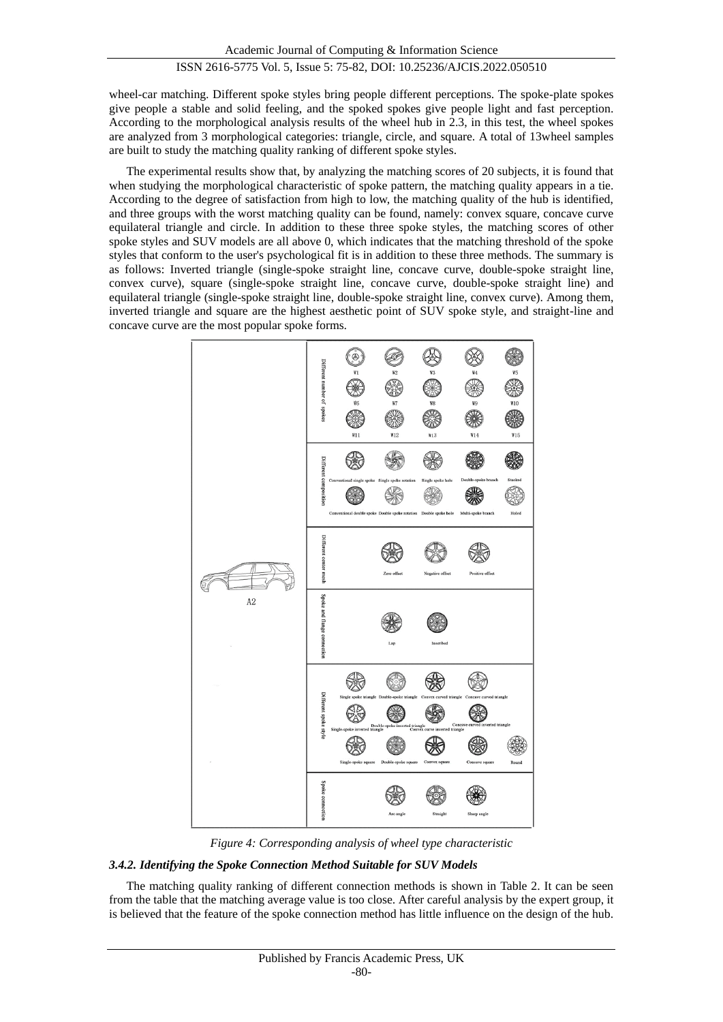wheel-car matching. Different spoke styles bring people different perceptions. The spoke-plate spokes give people a stable and solid feeling, and the spoked spokes give people light and fast perception. According to the morphological analysis results of the wheel hub in 2.3, in this test, the wheel spokes are analyzed from 3 morphological categories: triangle, circle, and square. A total of 13wheel samples are built to study the matching quality ranking of different spoke styles.

The experimental results show that, by analyzing the matching scores of 20 subjects, it is found that when studying the morphological characteristic of spoke pattern, the matching quality appears in a tie. According to the degree of satisfaction from high to low, the matching quality of the hub is identified, and three groups with the worst matching quality can be found, namely: convex square, concave curve equilateral triangle and circle. In addition to these three spoke styles, the matching scores of other spoke styles and SUV models are all above 0, which indicates that the matching threshold of the spoke styles that conform to the user's psychological fit is in addition to these three methods. The summary is as follows: Inverted triangle (single-spoke straight line, concave curve, double-spoke straight line, convex curve), square (single-spoke straight line, concave curve, double-spoke straight line) and equilateral triangle (single-spoke straight line, double-spoke straight line, convex curve). Among them, inverted triangle and square are the highest aesthetic point of SUV spoke style, and straight-line and concave curve are the most popular spoke forms.



*Figure 4: Corresponding analysis of wheel type characteristic*

## *3.4.2. Identifying the Spoke Connection Method Suitable for SUV Models*

The matching quality ranking of different connection methods is shown in Table 2. It can be seen from the table that the matching average value is too close. After careful analysis by the expert group, it is believed that the feature of the spoke connection method has little influence on the design of the hub.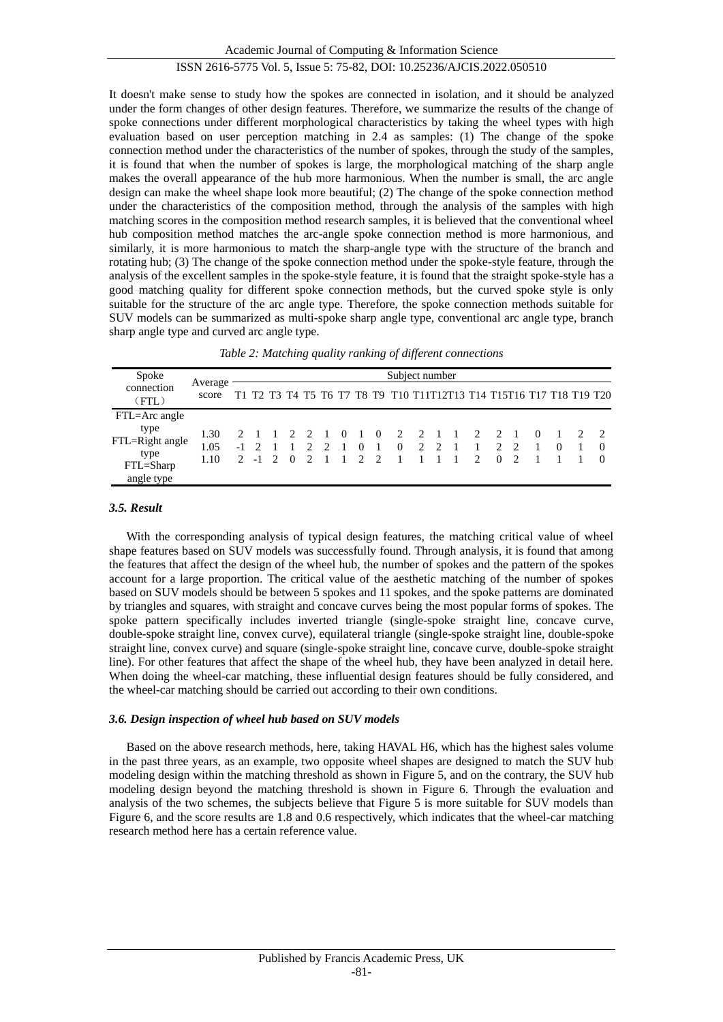Academic Journal of Computing & Information Science

## ISSN 2616-5775 Vol. 5, Issue 5: 75-82, DOI: 10.25236/AJCIS.2022.050510

It doesn't make sense to study how the spokes are connected in isolation, and it should be analyzed under the form changes of other design features. Therefore, we summarize the results of the change of spoke connections under different morphological characteristics by taking the wheel types with high evaluation based on user perception matching in 2.4 as samples: (1) The change of the spoke connection method under the characteristics of the number of spokes, through the study of the samples, it is found that when the number of spokes is large, the morphological matching of the sharp angle makes the overall appearance of the hub more harmonious. When the number is small, the arc angle design can make the wheel shape look more beautiful; (2) The change of the spoke connection method under the characteristics of the composition method, through the analysis of the samples with high matching scores in the composition method research samples, it is believed that the conventional wheel hub composition method matches the arc-angle spoke connection method is more harmonious, and similarly, it is more harmonious to match the sharp-angle type with the structure of the branch and rotating hub; (3) The change of the spoke connection method under the spoke-style feature, through the analysis of the excellent samples in the spoke-style feature, it is found that the straight spoke-style has a good matching quality for different spoke connection methods, but the curved spoke style is only suitable for the structure of the arc angle type. Therefore, the spoke connection methods suitable for SUV models can be summarized as multi-spoke sharp angle type, conventional arc angle type, branch sharp angle type and curved arc angle type.

| Spoke                                                      |                      | Subject number |                 |  |                    |                     |  |          |  |  |                                                                     |  |  |  |  |  |                |          |                |          |
|------------------------------------------------------------|----------------------|----------------|-----------------|--|--------------------|---------------------|--|----------|--|--|---------------------------------------------------------------------|--|--|--|--|--|----------------|----------|----------------|----------|
| connection<br>(FTL)                                        | Average<br>score     |                |                 |  |                    |                     |  |          |  |  | T1 T2 T3 T4 T5 T6 T7 T8 T9 T10 T11T12T13 T14 T15T16 T17 T18 T19 T20 |  |  |  |  |  |                |          |                |          |
| FTL=Arc angle                                              |                      |                |                 |  |                    |                     |  |          |  |  |                                                                     |  |  |  |  |  |                |          |                |          |
| type<br>FTL=Right angle<br>type<br>FTL=Sharp<br>angle type | 1.30<br>1.05<br>1.10 |                | 2 1<br>$-1$ 2 1 |  | 2 -1 2 0 2 1 1 2 2 | $1 \quad 2 \quad 2$ |  | $\Omega$ |  |  | 1 0 2 2 1 1 2 2 1<br>1 0 1 0 2 2 1 1 2 2<br>1 1 1 1 2 0             |  |  |  |  |  | $\overline{2}$ | $\theta$ | $\overline{0}$ | $\Omega$ |

## *3.5. Result*

With the corresponding analysis of typical design features, the matching critical value of wheel shape features based on SUV models was successfully found. Through analysis, it is found that among the features that affect the design of the wheel hub, the number of spokes and the pattern of the spokes account for a large proportion. The critical value of the aesthetic matching of the number of spokes based on SUV models should be between 5 spokes and 11 spokes, and the spoke patterns are dominated by triangles and squares, with straight and concave curves being the most popular forms of spokes. The spoke pattern specifically includes inverted triangle (single-spoke straight line, concave curve, double-spoke straight line, convex curve), equilateral triangle (single-spoke straight line, double-spoke straight line, convex curve) and square (single-spoke straight line, concave curve, double-spoke straight line). For other features that affect the shape of the wheel hub, they have been analyzed in detail here. When doing the wheel-car matching, these influential design features should be fully considered, and the wheel-car matching should be carried out according to their own conditions.

#### *3.6. Design inspection of wheel hub based on SUV models*

Based on the above research methods, here, taking HAVAL H6, which has the highest sales volume in the past three years, as an example, two opposite wheel shapes are designed to match the SUV hub modeling design within the matching threshold as shown in Figure 5, and on the contrary, the SUV hub modeling design beyond the matching threshold is shown in Figure 6. Through the evaluation and analysis of the two schemes, the subjects believe that Figure 5 is more suitable for SUV models than Figure 6, and the score results are 1.8 and 0.6 respectively, which indicates that the wheel-car matching research method here has a certain reference value.